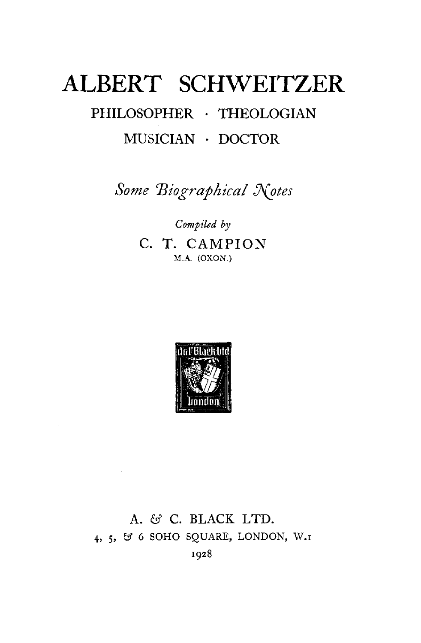# **ALBERT SCHWEITZER**

## PHILOSOPHER · THEOLOGIAN MUSICIAN · DOCTOR

*Some Biographical Notes* 

*Compiled* by C. T. CAMPION M.A. (OXON.)



A. & C. BLACK LTD. 4, 5, & 6 SOHO SQUARE, LONDON, W.I.

1928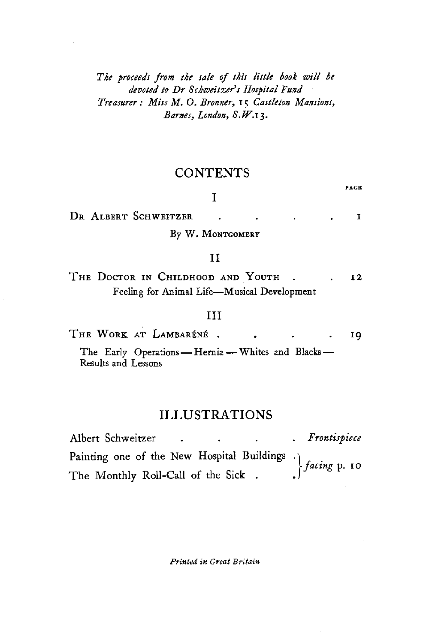*The proceeds from the sale of this little book will be devoted to Dr Schweitzer's Hospital Fund Treasurer: Miss M.* 0. *Bronner,* I 5 *Castleton Mansions, Barnes, London, S.W.13.* 

#### **CONTENTS**

|                                                                                   | PAGE |
|-----------------------------------------------------------------------------------|------|
| DR ALBERT SCHWEITZER<br><b>Contract Contract Contract</b>                         |      |
| By W. MONTGOMERY                                                                  |      |
| Н                                                                                 |      |
| The Doctor in Childhood and Youth.<br>Feeling for Animal Life-Musical Development | 12   |

#### III

|                     | THE WORK AT LAMBARÉNÉ.                              |  |  |  |
|---------------------|-----------------------------------------------------|--|--|--|
| Results and Lessons | The Early Operations - Hernia - Whites and Blacks - |  |  |  |

### **ILLUSTRATIONS**

| Albert Schweitzer                  |  |  | . Frontispiece                                                 |
|------------------------------------|--|--|----------------------------------------------------------------|
|                                    |  |  | ainting one of the New Hospital Buildings $\cdot$ facing p. 1' |
| The Monthly Roll-Call of the Sick. |  |  |                                                                |

Printed in Great Britain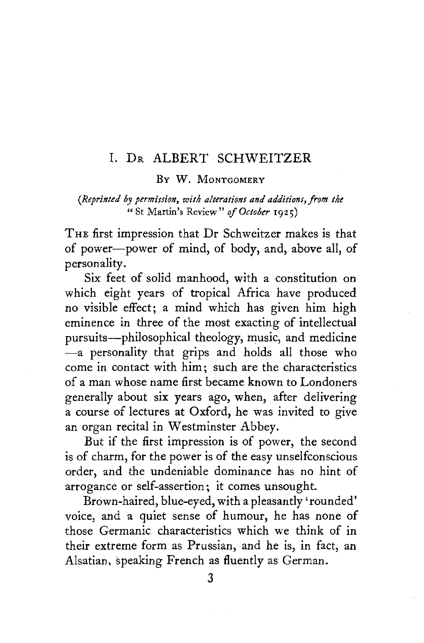### I. DR ALBERT SCHWEITZER

BY W. MONTGOMERY

*(Reprinted* by *permission, with alterations and additions,from the*  "St Martin's Review" *of October* r92 5)

THE first impression that Dr Schweitzer makes is that of power-power of mind, of body, and, above all, of personality.

Six feet of solid manhood, with a constitution on which eight years of tropical Africa have produced no visible effect; a mind which has given him high eminence in three of the most exacting of intellectual pursuits-philosophical theology, music, and medicine -a personality that grips and holds all those who come in contact with him; such are the characteristics of a man whose name first became known to Londoners generally about six years ago, when, after delivering a course of lectures at Oxford, he was invited to give an organ recital in Westminster Abbey.

But if the first impression is of power, the second is of charm, for the power is of the easy unselfconscious order, and the undeniable dominance has no hint of arrogance or self-assertion; it comes unsought.

Brown-haired, blue-eyed, with a pleasantly 'rounded' voice, and a quiet sense of humour, he has none of those Germanic characteristics which we think of in their extreme form as Prussian, and he is, in fact, an Alsatian, speaking French as fluently as German.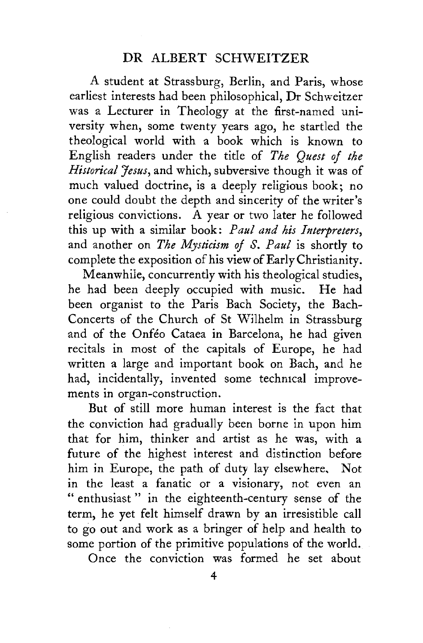### DR ALBERT SCHWEITZER

A student at Strassburg, Berlin, and Paris, whose earliest interests had been philosophical, Dr Schweitzer was a Lecturer in Theology at the first-named university when, some twenty years ago, he startled the theological world with a book which is known to English readers under the title of *The Quest of the Historical Jesus,* and which, subversive though it was of much valued doctrine, is a deeply religious book; no one could doubt the depth and sincerity of the writer's religious convictions. A year or two later he followed this up with a similar book: *Paul and his Interpreters,*  and another on *The Mysticism of S. Paul* is shortly to complete the exposition of his view of Early Christianity.

Meanwhile, concurrently with his theological studies, he had been deeply occupied with music. He had been organist to the Paris Bach Society, the Bach-Concerts of the Church of St Wilhelm in Strassburg and of the Onféo Cataea in Barcelona, he had given recitals in most of the capitals of Europe, he had written a large and important book on Bach, and he had, incidentally, invented some technical improvements in organ-construction.

But of still more human interest is the fact that the conviction had gradually been borne in upon him that for him, thinker and artist as he was, with a future of the highest interest and distinction before him in Europe, the path of duty lay elsewhere. Not in the least a fanatic or a visionary, not even an " enthusiast " in the eighteenth-century sense of the term, he yet felt himself drawn by an irresistible call to go out and work as a bringer of help and health to some portion of the primitive populations of the world.

Once the conviction was formed he set about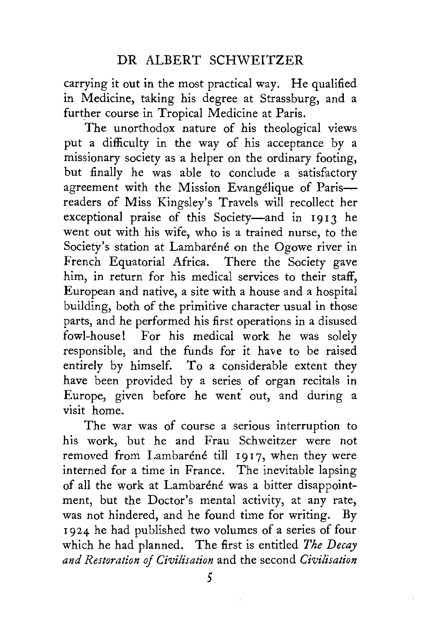carrying it out in the most practical way. He qualified in Medicine, taking his degree at Strassburg, and a further course in Tropical Medicine at Paris.

The unorthodox nature of his theological views put a difficulty in the way of his acceptance by a missionary society as a helper on the ordinary footing, but finally he was able to conclude a satisfactory agreement with the Mission Evangelique of Parisreaders of Miss Kingsley's Travels will recollect her exceptional praise of this Society-and in 1913 he went out with his wife, who is a trained nurse, to the Society's station at Lambaréné on the Ogowe river in French Equatorial Africa. There the Society gave him, in return for his medical services to their staff, European and native, a site with a house and a hospital building, both of the primitive character usual in those parts, and he performed his first operations in a disused fowl-house! For his medical work he was solely responsible, and the funds for it have to be raised entirely by himself. To a considerable extent they have been provided by a series of organ recitals in Europe, given before he went out, and during a visit home.

The war was of course a serious interruption to his work, but he and Frau Schweitzer were not removed from Lambaréné till 1917, when they were interned for a time in France. The inevitable lapsing of all the work at Lambaréné was a bitter disappointment, but the Doctor's mental activity, at any rate, was not hindered, and he found time for writing. By I 924 he had published two volumes of a series of four which he had planned. The first is entitled *The Decay and Restoration of Civilisation* and the second *Civilisation*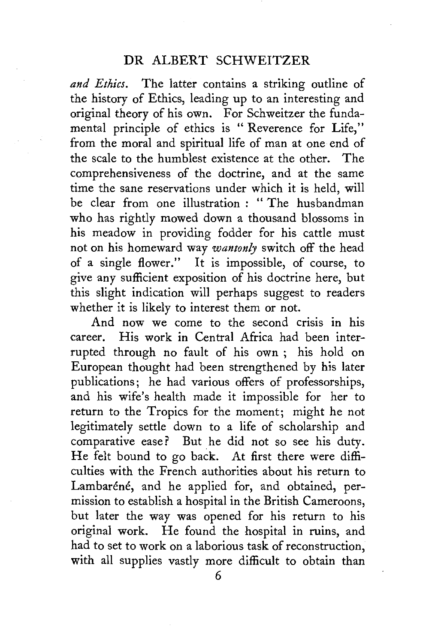*and Ethics.* The latter contains a striking outline of the history of Ethics, leading up to an interesting and original theory of his own. For Schweitzer the fundamental principle of ethics is " Reverence for Life," from the moral and spiritual life of man at one end of the scale to the humblest existence at the other. The comprehensiveness of the doctrine, and at the same time the sane reservations under which it is held, will be clear from one illustration : " The husbandman who has rightly mowed down a thousand blossoms in his meadow in providing fodder for his cattle must not on his homeward way *wantonly* switch off the head of a single flower." It is impossible, of course, to give any sufficient exposition of his doctrine here, but this slight indication will perhaps suggest to readers whether it is likely to interest them or not.

And now we come to the second crisis in his career. His work in Central Africa had been interrupted through no fault of his own ; his hold on European thought had been strengthened by his later publications; he had various offers of professorships, and his wife's health made it impossible for her to return to the Tropics for the moment; might he not legitimately settle down to a life of scholarship and comparative ease? But he did not so see his duty. He felt bound to go back. At first there were difficulties with the French authorities about his return to Lambaréné, and he applied for, and obtained, permission to establish a hospital in the British Cameroons, but later the way was opened for his return to his original work. He found the hospital in ruins, and had to set to work on a laborious task of reconstruction, with all supplies vastly more difficult to obtain than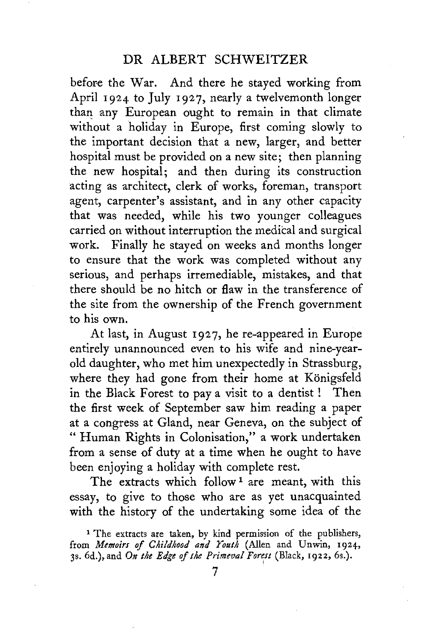before the War. And there he stayed working from April 1924 to July 1927, nearly a twelvemonth longer than any European ought to remain in that climate without a holiday in Europe, first coming slowly to the important decision that a new, larger, and better hospital must be provided on a new site; then planning the new hospital; and then during its construction acting as architect, clerk of works, foreman, transport agent, carpenter's assistant, and in any other capacity that was needed, while his two younger colleagues carried on without interruption the medical and surgical work. Finally he stayed on weeks and months longer to ensure that the work was completed without any serious, and perhaps irremediable, mistakes, and that there should be no hitch or flaw in the transference of the site from the ownership of the French government to his own.

At last, in August 1927, he re-appeared in Europe entirely unannounced even to his wife and nine-yearold daughter, who met him unexpectedly in Strassburg, where they had gone from their home at Konigsfeld in the Black Forest to pay a visit to a dentist ! Then the first week of September saw him reading a paper at a congress at Gland, near Geneva, on the subject of "Human Rights in Colonisation," a work undertaken from a sense of duty at a time when he ought to have been enjoying a holiday with complete rest.

The extracts which follow<sup>1</sup> are meant, with this essay, to give *to* those who are as yet unacquainted with the history of the undertaking some idea of the

<sup>1</sup> The extracts are taken, by kind permission of the publishers, from *Memoirs of Childhood and Youth* (Allen and Unwin, 1924, 3s. 6d.), and *On the Edge of the Primeval Forest* (Black, 1922, 6s.).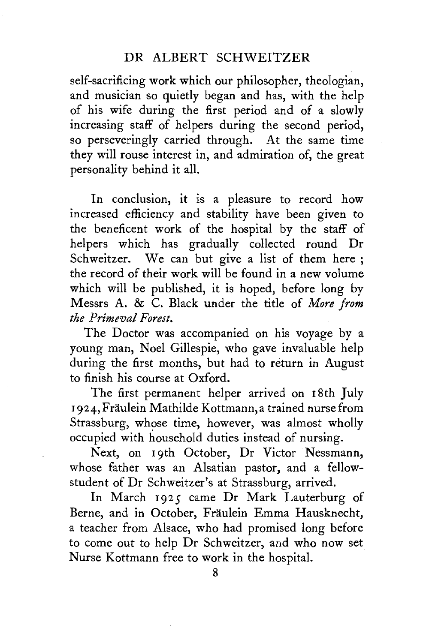self-sacrificing work which our philosopher, theologian, and musician so quietly began and has, with the help of his wife during the first period and of a slowly increasing staff of helpers during the second period, so perseveringly carried through. At the same time they will rouse interest in, and admiration of, the great personality behind it all.

In conclusion, it is a pleasure to record how increased efficiency and stability have been given *to*  the beneficent work of the hospital by the staff of helpers which has gradually collected round Dr Schweitzer. We can but give a list of them here; the record of their work will be found in a new volume which will be published, it is hoped, before long by Messrs A. & C. Black under the title of *More from the Primeval Forest.* 

The Doctor was accompanied on his voyage by a young man, Noel Gillespie, who gave invaluable help during the first months, but had to return in August to finish his course at Oxford.

The first permanent helper arrived on 18th July 1924, Fraulein Mathilde Kottmann, a trained nurse from Strassburg, whose time, however, was almost wholly occupied with household duties instead of nursing.

Next, on 19th October, Dr Victor Nessmann, whose father was an Alsatian pastor, and a fellowstudent of Dr Schweitzer's at Strassburg, arrived.

In March 1925 came Dr Mark Lauterburg of Berne, and in October, Fraulein Emma Hausknecht, a teacher from Alsace, who had promised long before to come out to help Dr Schweitzer, and who now set Nurse Kottmann free to work in the hospital.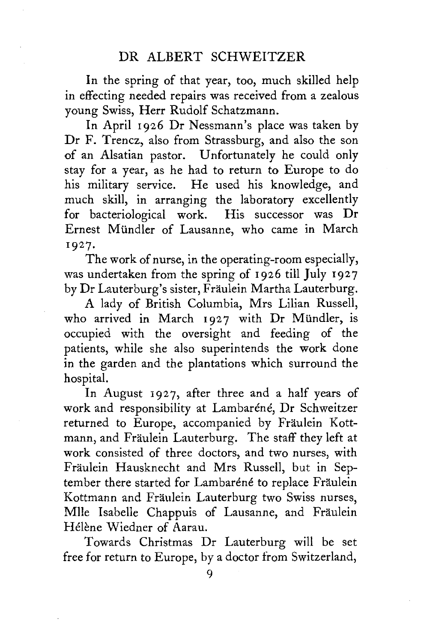In the spring of that year, too, much skilled help in effecting needed repairs was received from a zealous young Swiss, Herr Rudolf Schatzmann.

In April 1926 Dr Nessmann's place was taken by Dr F. Trencz, also from Strassburg, and also the son of an Alsatian pastor. Unfortunately he could only stay for a year, as he had to return to Europe to do his military service. He used his knowledge, and much skill, in arranging the laboratory excellently for bacteriological work. His successor was Dr Ernest Miindler of Lausanne, who came in March 1927.

The work of nurse, in the operating-room especially, was undertaken from the spring of 1926 till July 1927 by Dr Lauterburg's sister, Fraulein Martha Lauterburg.

A lady of British Columbia, Mrs Lilian Russell, who arrived in March 1927 with Dr Mündler, is occupied with the oversight and feeding of the patients, while she also superintends the work done in the garden and the plantations which surround the hospital.

In August 1927, after three and a half years of work and responsibility at Lambaréné, Dr Schweitzer returned to Europe, accompanied by Fräulein Kottmann, and Fräulein Lauterburg. The staff they left at work consisted of three doctors, and two nurses, with Fraulein Hausknecht and Mrs Russell, but in September there started for Lambaréné to replace Fräulein Kottmann and Fraulein Lauterburg two Swiss nurses, Mlle Isabelle Chappuis of Lausanne, and Fraulein Helene Wiedner of Aarau.

Towards Christmas Dr Lauterburg will be set free for return to Europe, by a doctor from Switzerland,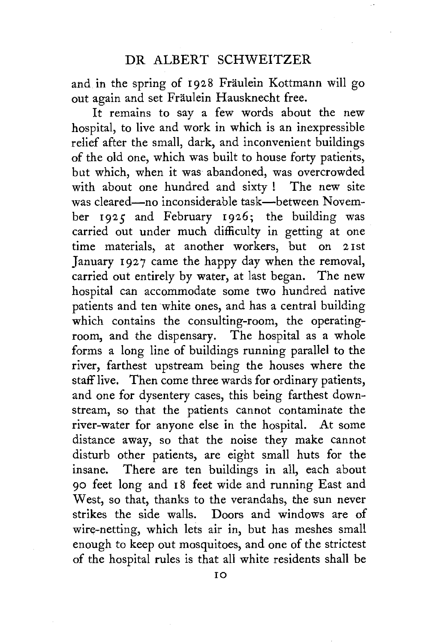and in the spring of 1928 Fräulein Kottmann will go out again and set Fraulein Hausknecht free.

It remains to say a few words about the new hospital, to live and work in which is an inexpressible relief after the small, dark, and inconvenient buildings of the old one, which was built to house forty patients, but which, when it was abandoned, was overcrowded with about one hundred and sixty ! The new site was cleared—no inconsiderable task—between November 1925 and February 1926; the building was carried out under much difficulty in getting at one time materials, at another workers, but on 21st January 1927 came the happy day when the removal, carried out entirely by water, at last began. The new hospital can accommodate some two hundred native patients and ten white ones, and has a central building which contains the consulting-room, the operatingroom, and the dispensary. The hospital as a whole forms a long line of buildings running parallel to the river, farthest upstream being the houses where the staff live. Then come three wards for ordinary patients, and one for dysentery cases, this being farthest downstream, so that the patients cannot contaminate the river-water for anyone else in the hospital. At some distance away, so that the noise they make cannot disturb other patients, are eight small huts for the insane. There are ten buildings in all, each about 90 feet long and 18 feet wide and running East and West, so that, thanks to the verandahs, the sun never strikes the side walls. Doors and windows are of wire-netting, which lets air in, but has meshes small enough to keep out mosquitoes, and one of the strictest of the hospital rules is that all white residents shall be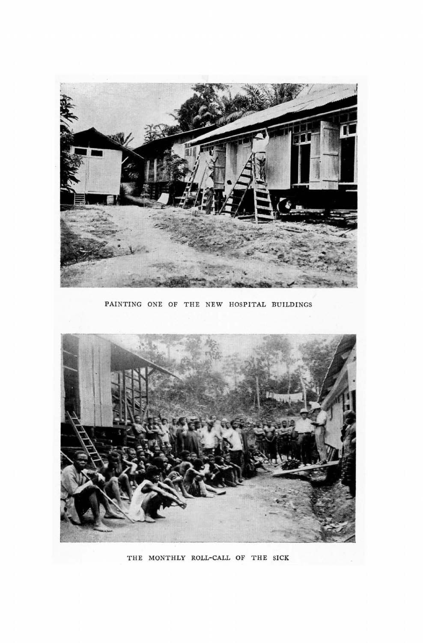

PAINTING ONE OF THE NEW HOSPITAL BUILDINGS



THE MONTHLY ROLL-CALL OF THE SICK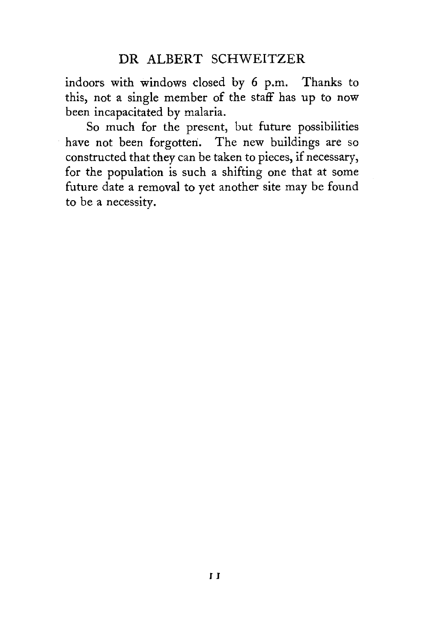indoors with windows closed by 6 p.m. Thanks to this, not a single member of the staff has up to now been incapacitated by malaria.

So much for the present, but future possibilities have not been forgotten. The new buildings are so constructed that they can be taken to pieces, if necessary, for the population is such a shifting one that at some future date a removal to yet another site may be found to be a necessity.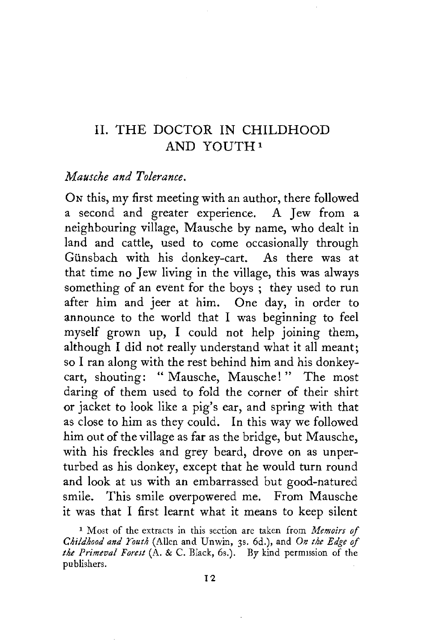### II. THE DOCTOR IN CHILDHOOD AND YOUTH <sup>1</sup>

#### *Mausche and Tolerance.*

ON this, my first meeting with an author, there followed a second and greater experience. A Jew from a neighbouring village, Mausche by name, who dealt in land and cattle, used to come occasionally through Giinsbach with his donkey-cart. As there was at that time no Jew living in the village, this was always something of an event for the boys; they used to run after him and jeer at him. One day, in order to announce to the world that I was beginning to feel myself grown up, I could not help joining them, although I did not really understand what it all meant; so I ran along with the rest behind him and his donkeycart, shouting: "Mausche, Mausche!" The most daring of them used to fold the corner of their shirt or jacket to look like a pig's ear, and spring with that as close *to* him as they could. In this way we followed him out of the village as far as the bridge, but Mausche, with his freckles and grey beard, drove on as unperturbed as his donkey, except that he would turn round and look at us with an embarrassed but good-natured smile. This smile overpowered me. From Mausche it was that I first learnt what it means to keep silent

1 Most of the extracts in this section are taken from *Memoirs of Childhood and Youth* (Allen and Unwin, 3s. 6d.), and *On the Edge of the Primeval Forest* (A. & C. Black, 6s.). By kind permission of the publishers.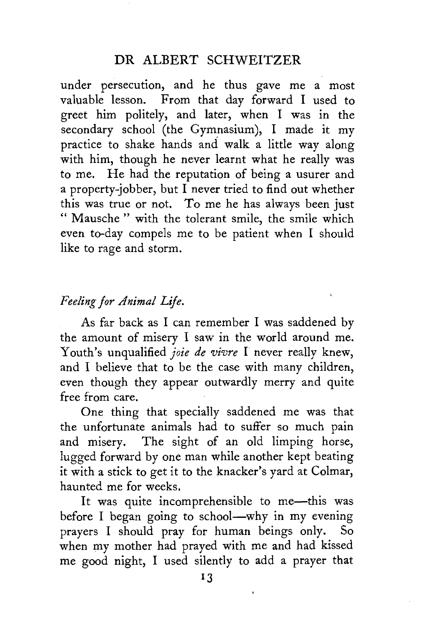### DR ALBERT SCHWEITZER

under persecution, and he thus gave me a most valuable lesson. From that day forward I used to greet him politely, and later, when I was in the secondary school (the Gymnasium), I made it my practice to shake hands and walk a little way along with him, though he never learnt what he really was to me. He had the reputation of being a usurer and a property-jobber, but  $\overline{I}$  never tried to find out whether this was true or not. To me he has always been just " Mausche " with the tolerant smile, the smile which even to-day compels me to be patient when I should like to rage and storm.

#### *Feeling for Animal Life.*

As far back as I can remember I was saddened by the amount of misery I saw in the world around me. Youth's unqualified *joie de vivre* I never really knew, and I believe that to be the case with many children, even though they appear outwardly merry and quite free from care.

One thing that specially saddened me was that the unfortunate animals had to suffer so much pain and misery. The sight of an old limping horse, lugged forward by one man while another kept beating it with a stick to get it to the knacker's yard at Colmar, haunted me for weeks.

It was quite incomprehensible to me-this was before I began going to school-why in my evening prayers I should pray for human beings only. So when my mother had prayed with me and had kissed me good night, I used silently to add a prayer that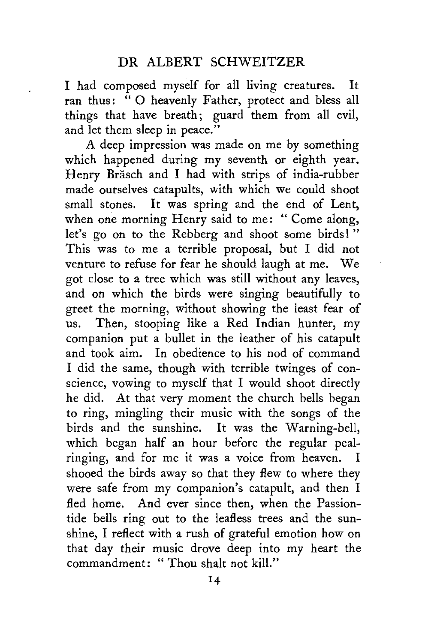I had composed myself for all living creatures. It ran thus: " 0 heavenly Father, protect and bless all things that have breath; guard them from all evil, and let them sleep in peace."

A deep impression was made on me by something which happened during my seventh or eighth year. Henry Brasch and I had with strips of india-rubber made ourselves catapults, with which we could shoot small stones. It was spring and the end of Lent, when one morning Henry said to me: " Come along, let's go on to the Rebberg and shoot some birds!" This was to me a terrible proposal, but I did not venture to refuse for fear he should laugh at me. We got close to a tree which was still without any leaves, and on which the birds were singing beautifully to greet the morning, without showing the least fear of us. Then, stooping like a Red Indian hunter, my companion put a bullet in the leather of his catapult and took aim. In obedience to his nod of command I did the same, though with terrible twinges of conscience, vowing to myself that I would shoot directly he did. At that very moment the church bells began to ring, mingling their music with the songs of the birds and the sunshine. It was the Warning-bell, which began half an hour before the regular pealringing, and for me it was a voice from heaven. shooed the birds away so that they flew to where they were safe from my companion's catapult, and then I fled home. And ever since then, when the Passiontide bells ring out to the leafless trees and the sunshine, I reflect with a rush of grateful emotion how on that day their music drove deep into my heart the commandment: "Thou shalt not kill."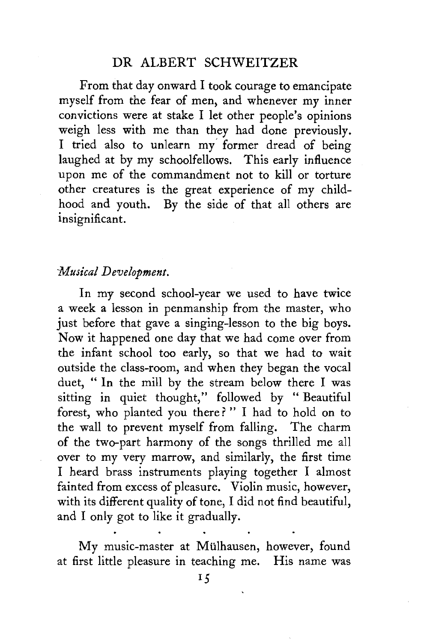From that day onward I took courage to emancipate myself from the fear of men, and whenever my inner convictions were at stake I let other people's opinions weigh less with me than they had done previously. I tried also to unlearn my' former dread of being laughed at by my schoolfellows. This early influence upon me of the commandment not to kill or torture other creatures is the great experience of my childhood and youth. By the side of that all others are insignificant.

#### *Musical Development.*

In my second school-year we used to have twice a week a lesson in penmanship from the master, who just before that gave a singing-lesson to the big boys. Now it happened one day that we had come over from the infant school too early, so that we had to wait outside the class-room, and when they began the vocal duet, " In the mill by the stream below there I was sitting in quiet thought," followed by " Beautiful forest, who planted you there? " I had to hold on to the wall to prevent myself from falling. The charm of the two-part harmony of the songs thrilled me all over to my very marrow, and similarly, the first time I heard brass instruments playing together I almost fainted from excess of pleasure. Violin music, however, with its different quality of tone, I did not find beautiful, and I only got to like it gradually.

My music-master at Miilhausen, however, found at first little pleasure in teaching me. His name was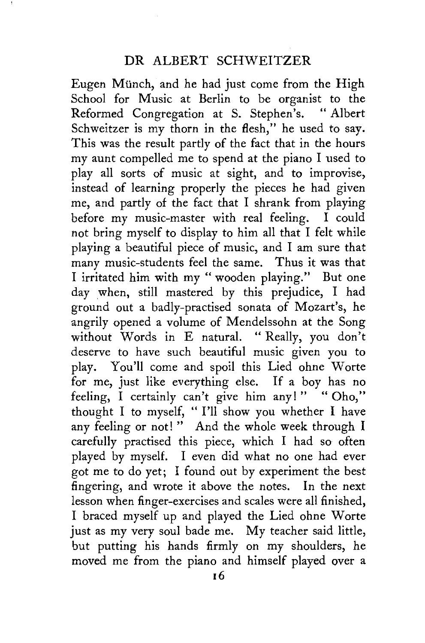Eugen Munch, and he had just come from the High School for Music at Berlin to be organist to the Reformed Congregation at S. Stephen's. " Albert Schweitzer is my thorn in the flesh," he used to say. This was the result partly of the fact that in the hours my aunt compelled me to spend at the piano I used to play all sorts of music at sight, and to improvise, instead of learning properly the pieces he had given me, and partly of the fact that I shrank from playing before my music-master with real feeling. I could not bring myself to display to him all that I felt while playing a beautiful piece of music, and I am sure that many music-students feel the same. Thus it was that I irritated him with my "wooden playing." But one day when, still mastered by this prejudice, I had ground out a badly-practised sonata of Mozart's, he angrily opened a volume of Mendelssohn at the Song without Words in E natural. " Really, you don't deserve to have such beautiful music given you to play. You'll come and spoil this Lied ohne Worte for me, just like everything else. If a boy has no feeling, I certainly can't give him any!" "Oho," thought I to myself, " I'll show you whether I have any feeling or not! " And the whole week through I carefully practised this piece, which I had so often played by myself. I even did what no one had ever got me to do yet; I found out by experiment the best fingering, and wrote it above the notes. In the next lesson when finger-exercises and scales were all finished, I braced myself up and played the Lied ohne Worte just as my very soul bade me. My teacher said little, but putting his hands firmly on my shoulders, he moved me from the piano and himself played over a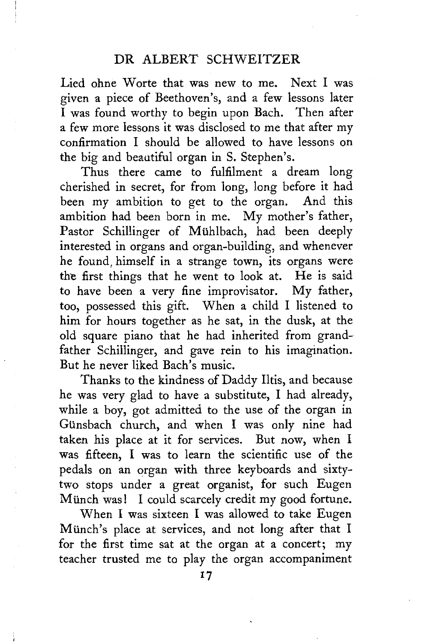Lied ohne Worte that was new to me. Next I was given a piece of Beethoven's, and a few lessons later I was found worthy to begin upon Bach. Then after a few more lessons it was disclosed to me that after my confirmation I should be allowed to have lessons on the big and beautiful organ in S. Stephen's.

Thus there came to fulfilment a dream long cherished in secret, for from long, long before it had been my ambition to get to the organ. And this ambition had been born in me. My mother's father, Pastor Schillinger of Mühlbach, had been deeply interested in organs and organ-building, and whenever he found, himself in a strange town, its organs were the first things that he went to look at. He is said to have been a very fine improvisator. My father, too, possessed this gift. When a child I listened to him for hours together as he sat, in the dusk, at the old square piano that he had inherited from grandfather Schillinger, and gave rein to his imagination. But he never liked Bach's music.

Thanks to the kindness of Daddy Iltis, and because he was very glad to have a substitute, I had already, while a boy, got admitted to the use of the organ in Giinsbach church, and when I was only nine had taken his place at it for services. But now, when I was fifteen, I was to learn the scientific use of the pedals on an organ with three keyboards and sixtytwo stops under a great organist, for such Eugen Münch was! I could scarcely credit my good fortune.

When I was sixteen I was allowed to take Eugen Munch's place at services, and not long after that I for the first time sat at the organ at a concert; my teacher trusted me to play the organ accompaniment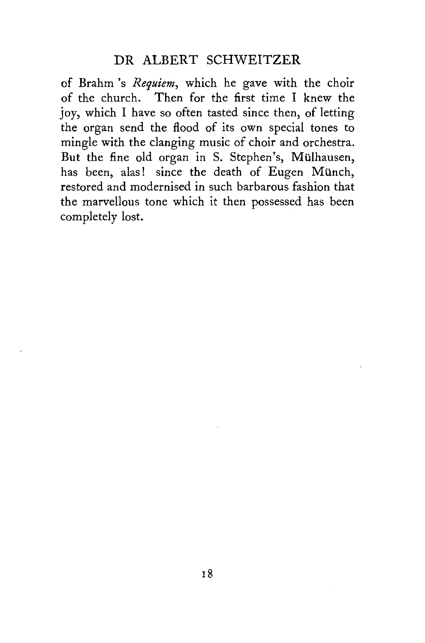### DR ALBERT SCHWEITZER

of Brahm 's *Requiem,* which he gave with the choir of the church. Then for the first time I knew the joy, which I have so often tasted since then, of letting the organ send the flood of its own special tones to mingle with the clanging music of choir and orchestra. But the fine old organ in S. Stephen's, Mulhausen, has been, alas! since the death of Eugen Munch, restored and modernised in such barbarous fashion that the marvellous tone which it then possessed has been completely lost.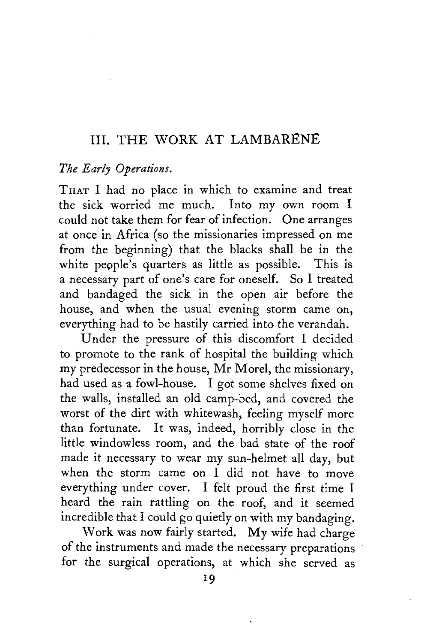### III. THE WORK AT LAMBARENE

#### *The Early Operations.*

THAT I had no place in which to examine and treat the sick worried me much. Into my own room I could not take them for fear of infection. One arranges at once in Africa (so the missionaries impressed on me from the beginning) that the blacks shall be in the white people's quarters as little as possible. This is a necessary part of one's care for oneself. So I treated and bandaged the sick in the open air before the house, and when the usual evening storm came on, everything had to be hastily carried into the verandah.

Under the pressure of this discomfort I decided to promote to the rank of hospital the building which my predecessor in the house, Mr Morel, the missionary, had used as a fowl-house. I got some shelves fixed on the walls, installed an old camp-bed, and covered the worst of the dirt with whitewash, feeling myself more than fortunate. It was, indeed, horribly close in the little windowless room, and the bad state of the roof made it necessary to wear my sun-helmet all day, but when the storm came on I did not have to move everything under cover. I felt proud the first time I heard the rain rattling on the roof, and it seemed incredible that I could go quietly on with my bandaging.

Work was now fairly started. My wife had charge of the instruments and made the necessary preparations for the surgical operations, at which she served as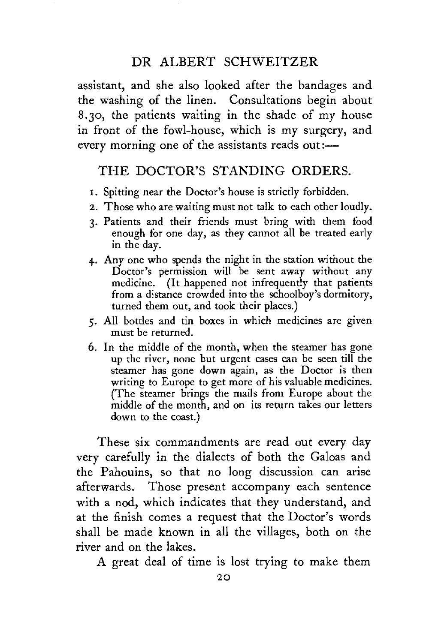#### DR ALBERT SCHWEITZER

assistant, and she also looked after the bandages and the washing of the linen. Consultations begin about 8.30, the patients waiting in the shade of my house in front of the fowl-house, which is my surgery, and every morning one of the assistants reads out:—

#### THE DOCTOR'S STANDING ORDERS.

- I. Spitting near the Doctor's house is strictly forbidden.
- 2. Those who are waiting must not talk to each other loudly.
- 3. Patients and their friends must bring with them food enough for one day, as they cannot all be treated early in the day.
- 4. Any one who spends the night in the station without the Doctor's permission will be sent away without any medicine. (It happened not infrequently that patients from a distance crowded into the schoolboy's dormitory, turned them out, and took their places.)
- *5.* All bottles and tin boxes in which medicines are given must be returned.
- 6. In the middle of the month, when the steamer has gone up the river, none but urgent cases can be seen till the steamer has gone down again, as the Doctor is then writing to Europe to get more of his valuable medicines. (The steamer brings the mails from Europe about the middle of the month, and on its return takes our letters down to the coast.)

These six commandments are read out every day very carefully in the dialects of both the Galoas and the Pahouins, so that no long discussion can arise afterwards. Those present accompany each sentence with a nod, which indicates that they understand, and at the finish comes a request that the Doctor's words shall be made known in all the villages, both on the river and on the lakes.

A great deal of time is lost trying to make them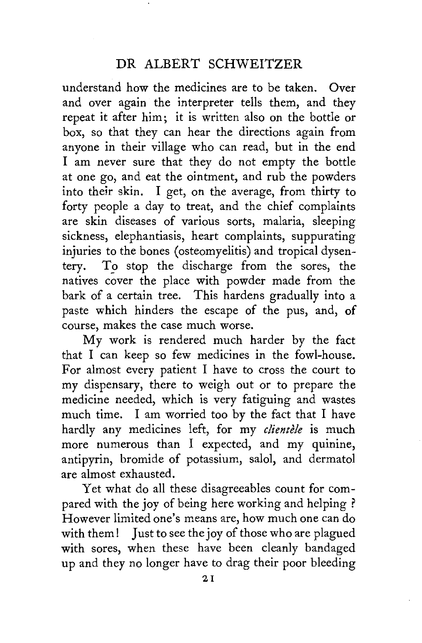understand how the medicines are to be taken. Over and over again the interpreter tells them, and they repeat it after him; it is written also on the bottle or box, so that they can hear the directions again from anyone in their village who can read, but in the end I am never sure that they do not empty the bottle at one go, and eat the ointment, and rub the powders into their skin. I get, on the average, from thirty to forty people a day to treat, and the chief complaints are skin diseases of various sorts, malaria, sleeping sickness, elephantiasis, heart complaints, suppurating injuries to the bones (osteomyelitis) and tropical dysentery. To stop the discharge from the sores, the natives cover the place with powder made from the bark of a certain tree. This hardens gradually into a paste which hinders the escape of the pus, and, of course, makes the case much worse.

My work is rendered much harder by the fact that I can keep so few medicines in the fowl-house. For almost every patient I have to cross the court to my dispensary, there to weigh out or to prepare the medicine needed, which is very fatiguing and wastes much time. I am worried too by the fact that I have hardly any medicines left, for my *clientèle* is much more numerous than I expected, and my quinine, antipyrin, bromide of potassium, salol, and dermatol are almost exhausted.

Yet what do all these disagreeables count for compared with the joy of being here working and helping ? However limited one's means are, how much one can do with them! Just to see the joy of those who are plagued with sores, when these have been cleanly bandaged up and they no longer have to drag their poor bleeding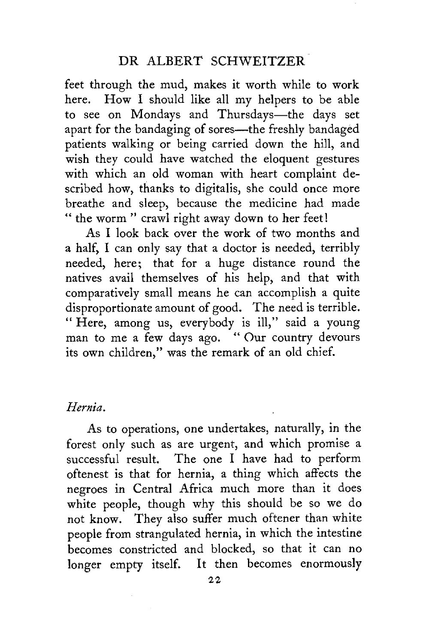feet through the mud, makes it worth while to work here. How I should like all my helpers to be able to see on Mondays and Thursdays-the days set apart for the bandaging of sores-the freshly bandaged patients walking or being carried down the hill, and wish they could have watched the eloquent gestures with which an old woman with heart complaint described how, thanks to digitalis, she could once more breathe and sleep, because the medicine had made " the worm " crawl right away down to her feet!

As I look back over the work of two months and a half, I can only say that a doctor is needed, terribly needed, here; that for a huge distance round the natives avail themselves of his help, and that with comparatively small means he can accomplish a quite disproportionate amount of good. The need is terrible. " Here, among us, everybody is ill," said a young man to me a few days ago. "Our country devours its own children," was the remark of an old chief.

### *Hernia.*

As to operations, one undertakes, naturally, in the forest only such as are urgent, and which promise a successful result. The one I have had to perform oftenest is that for hernia, a thing which affects the negroes in Central Africa much more than it does white people, though why this should be so we do not know. They also suffer much oftener than white people from strangulated hernia, in which the intestine becomes constricted and blocked, so that it can no longer empty itself. It then becomes enormously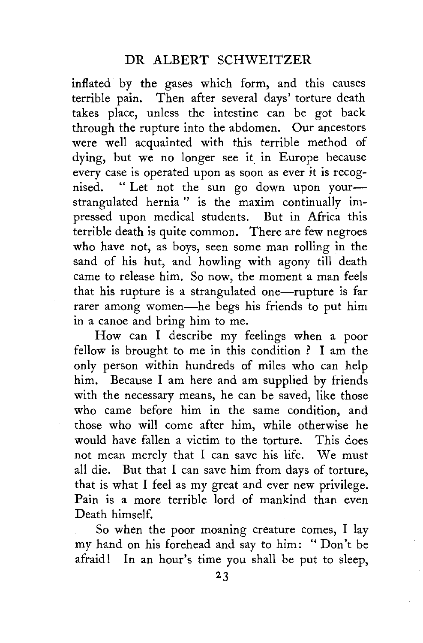inflated by the gases which form, and this causes terrible pain. Then after several days' torture death takes place, unless the intestine can be got back through the rupture into the abdomen. Our ancestors were well acquainted with this terrible method of dying, but we no longer see it in Europe because every case is operated upon as soon as ever it is recognised. "Let not the sun go down upon yourstrangulated hernia " is the maxim continually impressed upon medical students. But in Africa this terrible death is quite common. There are few negroes who have not, as boys, seen some man rolling in the sand of his hut, and howling with agony till death came to release him. So now, the moment a man feels that his rupture is a strangulated one—rupture is far rarer among women-he begs his friends to put him in a canoe and bring him to me.

How can I describe my feelings when a poor fellow is brought to me in this condition ? I am the only person within hundreds of miles who can help him. Because I am here and am supplied by friends with the necessary means, he can be saved, like those who came before him in the same condition, and those who will come after him, while otherwise he would have fallen a victim to the torture. This does not mean merely that I can save his life. We must all die. But that I can save him from days of torture, that is what I feel as my great and ever new privilege. Pain is a more terrible lord of mankind than even Death himself.

So when the poor moaning creature comes, I lay my hand on his forehead and say to him: " Don't be afraid! In an hour's time you shall be put to sleep,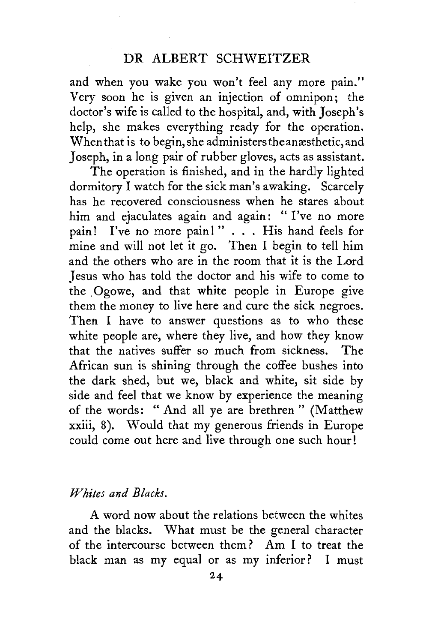and when you wake you won't feel any more pain." Very soon he is given an injection of omnipon; the doctor's wife is called to the hospital, and, with Joseph's help, she makes everything ready for the operation. When that is to begin, she administers the an as the tic, and Joseph, in a long pair of rubber gloves, acts as assistant.

The operation is finished, and in the hardly lighted dormitory I watch for the sick man's awaking. Scarcely has he recovered consciousness when he stares about him and ejaculates again and again: " I've no more pain! I've no more pain! " . . . His hand feels for mine and will not let it go. Then I begin to tell him and the others who are in the room that it is the Lord Jesus who has told the doctor and his wife to come to the . Ogowe, and that white people in Europe give them the money to live here and cure the sick negroes. Then I have to answer questions as to who these white people are, where they live, and how they know that the natives suffer so much from sickness. The African sun is shining through the coffee bushes into the dark shed, but we, black and white, sit side by side and feel that we know by experience the meaning of the words: " And all ye are brethren " (Matthew xxiii, 8). Would that my generous friends in Europe could come out here and live through one such hour!

### *Whites and Blacks.*

A word now about the relations between the whites and the blacks. What must be the general character of the intercourse between them? Am I to treat the black man as my equal or as my inferior? I must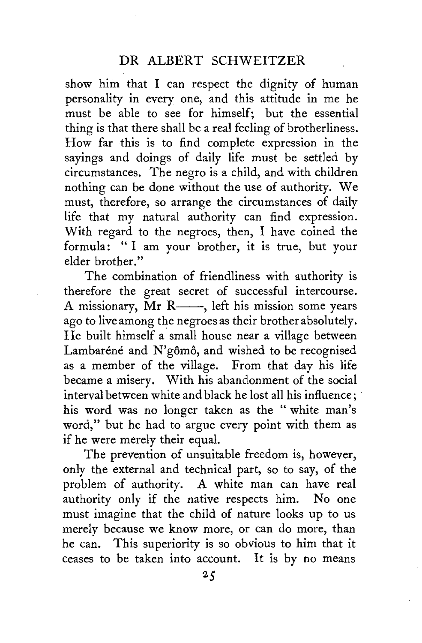show him that I can respect the dignity of human personality in every one, and this attitude in me he must be able to see for himself; but the essential thing is that there shall be a real feeling of brotherliness. How far this is to find complete expression in the sayings and doings of daily life must be settled by circumstances. The negro is a child, and with children nothing can be done without the use of authority. We must, therefore, so arrange the circumstances of daily life that my natural authority can find expression. With regard to the negroes, then, I have coined the formula: " I am your brother, it is true, but your elder brother."

The combination of friendliness with authority is therefore the great secret of successful intercourse. A missionary, Mr R--, left his mission some years ago to live among the negroes as their brother absolutely. He built himself a small house near a village between Lambaréné and N'gômô, and wished to be recognised as a member of the village. From that day his life became a misery. With his abandonment of the social interval between white and black he lost all his influence; his word was no longer taken as the "white man's word," but he had to argue every point with them as if he were merely their equal.

The prevention of unsuitable freedom is, however, only the external and technical part, so to say, of the problem of authority. A white man can have real authority only if the native respects him. No one must imagine that the child of nature looks up to us merely because we know more, or can do more, than he can. This superiority is so obvious to him that it ceases to be taken into account. It is by no means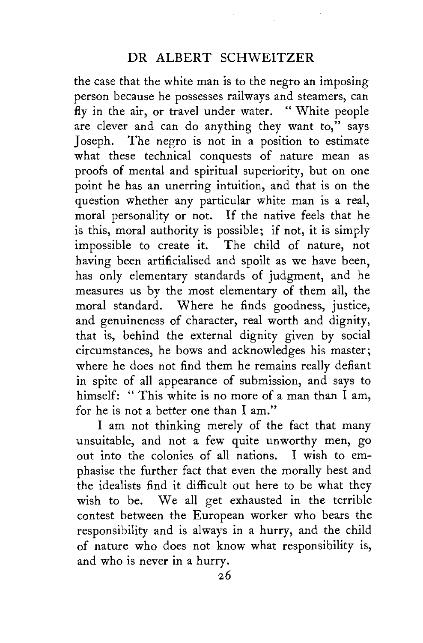the case that the white man is to the negro an imposing person because he possesses railways and steamers, can fly in the air, or travel under water. "White people are clever and can do anything they want to," says Joseph. The negro is not in a position to estimate what these technical conquests of nature mean as proofs of mental and spiritual superiority, but on one point he has an unerring intuition, and that is on the question whether any particular white man is a real, moral personality or not. If the native feels that he is this, moral authority is possible; if not, it is simply impossible to create it. The child of nature, not having been artificialised and spoilt as we have been, has only elementary standards of judgment, and he measures us by the most elementary of them all, the moral standard. Where he finds goodness, justice, and genuineness of character, real worth and dignity, that is, behind the external dignity given by social circumstances, he bows and acknowledges his master; where he does not find them he remains really defiant in spite of all appearance of submission, and says to himself: " This white is no more of a man than I am, for he is not a better one than I am."

I am not thinking merely of the fact that many unsuitable, and not a few quite unworthy men, go out into the colonies of all nations. I wish to emphasise the further fact that even the morally best and the idealists find it difficult out here to be what they wish to be. We all get exhausted in the terrible contest between the European worker who bears the responsibility and is always in a hurry, and the child of nature who does not know what responsibility 1s, and who is never in a hurry.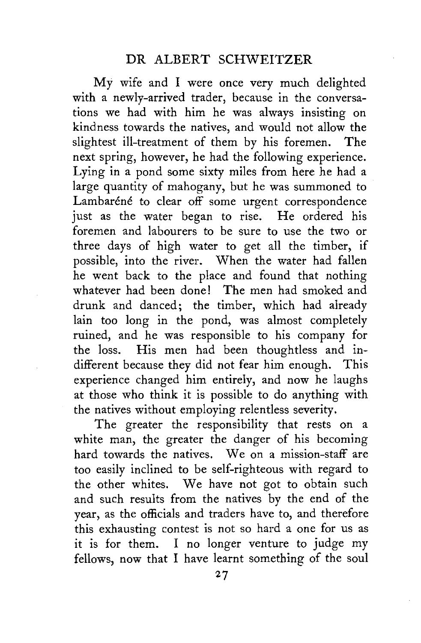My wife and I were once very much delighted with a newly-arrived trader, because in the conversations we had with him he was always insisting on kindness towards the natives, and would not allow the slightest ill-treatment of them by his foremen. The next spring, however, he had the following experience. Lying in a pond some sixty miles from here he had a large quantity of mahogany, but he was summoned to Lambaréné to clear off some urgent correspondence just as the water began to rise. He ordered his foremen and labourers to be sure to use the two or three days of high water to get all the timber, if possible, into the river. When the water had fallen he went back to the place and found that nothing whatever had been done! The men had smoked and drunk and danced; the timber, which had already lain too long in the pond, was almost completely ruined, and he was responsible to his company for the loss. His men had been thoughtless and indifferent because they did not fear him enough. This experience changed him entirely, and now he laughs at those who think it is possible to do anything with the natives without employing relentless severity.

The greater the responsibility that rests on a white man, the greater the danger of his becoming hard towards the natives. We on a mission-staff are too easily inclined to be self-righteous with regard to the other whites. We have not got to obtain such and such results from the natives by the end of the year, as the officials and traders have to, and therefore this exhausting contest is not so hard a one for us as it is for them. I no longer venture to judge my fellows, now that I have learnt something of the soul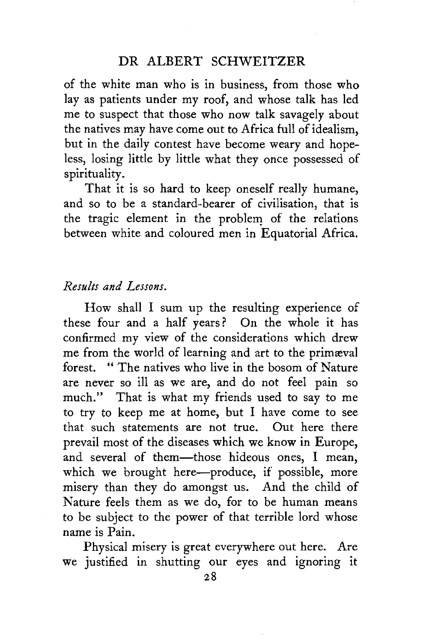of the white man who is in business, from those who lay as patients under my roof, and whose talk has led me to suspect that those who now talk savagely about the natives may have come out to Africa full of idealism, but in the daily contest have become weary and hopeless, losing little by little what they once possessed of spirituality.

That it is so hard to keep oneself really humane, and so to be a standard-bearer of civilisation, that is the tragic element in the problem of the relations between white and coloured men in Equatorial Africa.

### *Results and Lessons.*

How shall I sum up the resulting experience of these four and a half years? On the whole it has confirmed my view of the considerations which drew me from the world of learning and art to the primæval forest. " The natives who live in the bosom of Nature are never so ill as we are, and do not feel pain so much." That is what my friends used to say to me to try to keep me at home, but I have come to see that such statements are not true. Out here there prevail most of the diseases which we know in Europe, and several of them-those hideous ones, I mean, which we brought here-produce, if possible, more misery than they do amongst us. And the child of Nature feels them as we do, for to be human means to be subject to the power of that terrible lord whose name is Pain.

Physical misery is great everywhere out here. Are we justified in shutting our eyes and ignoring it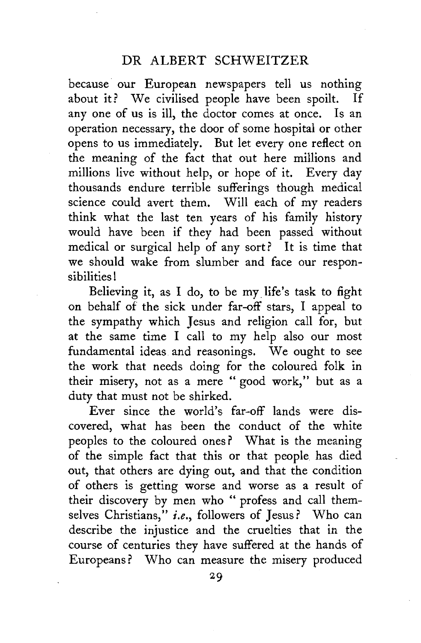because our European newspapers tell us nothing about it? We civilised people have been spoilt. If any one of us is ill, the doctor comes at once. Is an operation necessary, the door of some hospital or other opens *to* us immediately. But let every one reflect on the meaning of the fact that out here millions and millions live without help, or hope of it. Every day thousands endure terrible sufferings though medical science could avert them. Will each of my readers think what the last ten years of his family history would have been if they had been passed without medical or surgical help of any sort? It is time that we should wake from slumber and face our responsibilities I

Believing it, as I do, *to* be my life's task to fight on behalf of the sick under far-off stars, I appeal to the sympathy which Jesus and religion call for, but at the same time I call to my help also our most fundamental ideas and reasonings. We ought to see the work that needs doing for the coloured folk in their misery, not as a mere " good work," but as a duty that must not be shirked.

Ever since the world's far-off lands were discovered, what has been the conduct of the white peoples to the coloured ones? What is the meaning of the simple fact that this or that people has died out, that others are dying out, and that the condition of others is getting worse and worse as a result of their discovery by men who " profess and call themselves Christians," *i.e.,* followers of Jesus? Who can describe the injustice and the cruelties that in the course of centuries they have suffered at the hands of Europeans? Who can measure the misery produced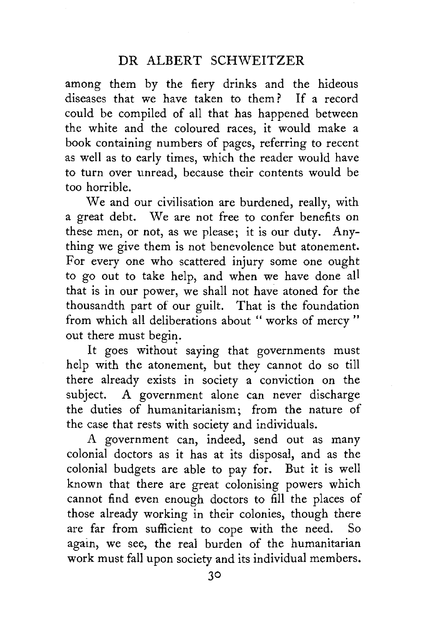### DR ALBERT SCHWEITZER

among them by the fiery drinks and the hideous diseases that we have taken to them ? If a record could be compiled of all that has happened between the white and the coloured races, it would make a book containing numbers of pages, referring to recent as well as to early times, which the reader would have to turn over unread, because their contents would be too horrible.

We and our civilisation are burdened, really, with a great debt. We are not free to confer benefits on these men, or not, as we please; it is our duty. Anything we give them is not benevolence but atonement. For every one who scattered injury some one ought to go out to take help, and when we have done all that is in our power, we shall not have atoned for the thousandth part of our guilt. That is the foundation from which all deliberations about " works of mercy " out there must begin.

It goes without saying that governments must help with the atonement, but they cannot do so till there already exists in society a conviction on the subject. A government alone can never discharge the duties of humanitarianism; from the nature of the case that rests with society and individuals.

A government can, indeed, send out as many colonial doctors as it has at its disposal, and as the colonial budgets are able to pay for. But it is well known that there are great colonising powers which cannot find even enough doctors to fill the places of those already working in their colonies, though there arc far from sufficient to cope with the need. So again, we see, the real burden of the humanitarian work must fall upon society and its individual members.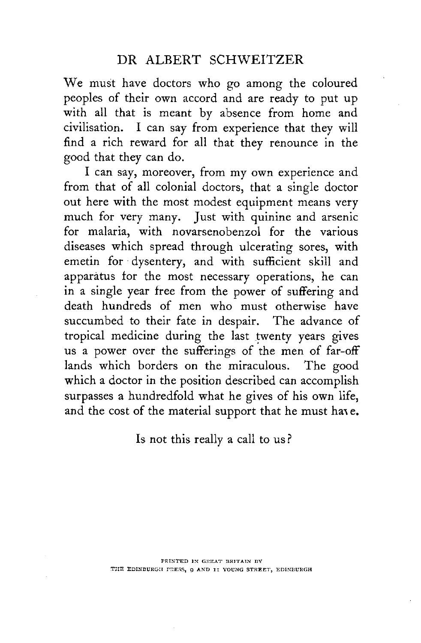We must have doctors who go among the coloured peoples of their own accord and are ready to put up with all that is meant by absence from home and civilisation. I can say from experience that they will find a rich reward for all that they renounce in the good that they can do.

I can say, moreover, from my own experience and from that of all colonial doctors, that a single doctor out here with the most modest equipment means very much for very many. Just with quinine and arsenic for malaria, with novarsenobenzol for the various diseases which spread through ulcerating sores, with emetin for dysentery, and with sufficient skill and apparatus tor the most necessary operations, he can in a single year free from the power of suffering and death hundreds of men who must otherwise have succumbed to their fate in despair. The advance of tropical medicine during the last twenty years gives us a power over the sufferings of the men of far-off lands which borders on the miraculous. The good which a doctor in the position described can accomplish surpasses a hundredfold what he gives of his own life, and the cost of the material support that he must have.

Is not this really a call to us?